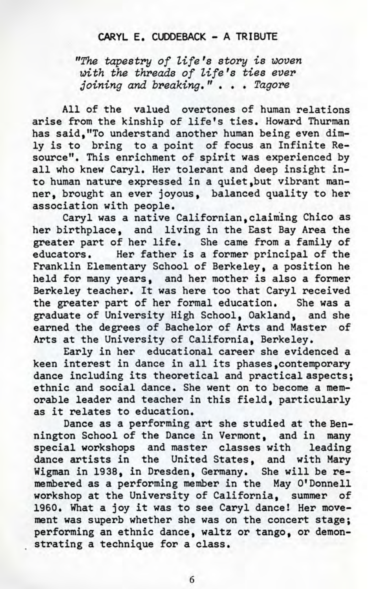## **CARYL E. CUDDEBACK - A TRIBUTE**

"The tapestry of life's story is woven with the threads of life's ties ever joining and breaking." . . . Tagore

All of the valued overtones of human relations arise from the kinship of life's ties. Howard Thurman has said,"To understand another human being even dimly is to bring to a point of focus an Infinite Resource". This enrichment of spirit was experienced by all who knew Caryl. Her tolerant and deep insight into human nature expressed in a quiet,but vibrant manner, brought an ever joyous, balanced quality to her association with people.

Caryl was a native Californian, claiming Chico as her birthplace, and living in the East Bay Area the greater part of her life. She came from a family of educators. Her father is a former principal of the Franklin Elementary School of Berkeley, a position he held for many years, and her mother is also a former Berkeley teacher. It was here too that Caryl received the greater part of her formal education. She was a graduate of University High School, Oakland, and she earned the degrees of Bachelor of Arts and Master of Arts at the University of California, Berkeley.

Early in her educational career she evidenced a keen interest in dance in all its phases,contemporary dance including its theoretical and practical aspects; ethnic and social dance. She went on to become a memorable leader and teacher in this field, particularly as it relates to education.

Dance as a performing art she studied at the Bennington School of the Dance in Vermont, and in many special workshops and master classes with leading dance artists in the United States, and with Mary Wigman in 1938, in Dresden, Germany. She will be remembered as a performing member in the May O'Donnell workshop at the University of California, summer of 1960. What a joy it was to see Caryl dance! Her movement was superb whether she was on the concert stage; performing an ethnic dance, waltz or tango, or demonstrating a technique for a class.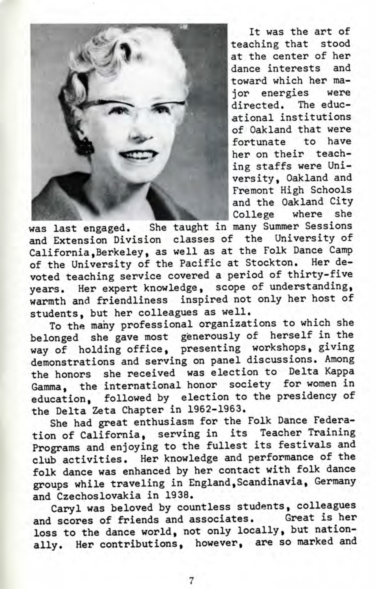

It was the art of teaching that stood at the center of her dance interests and toward which her major energies were directed. The educlational institutions of Oakland that were fortunate to have her on their teaching staffs were University, Oakland and Fremont High Schools and the Oakland City College where she

was last engaged. She taught in many Summer Sessions and Extension Division classes of the University of California,Berkeley, as well as at the Folk Dance Camp of the University of the Pacific at Stockton. Her devoted teaching service covered a period of thirty-five years. Her expert knowledge, scope of understanding, warmth and friendliness inspired not only her host of students, but her colleagues as well.

To the many professional organizations to which she belonged she gave most generously of herself in the way of holding office, presenting workshops, giving demonstrations and serving on panel discussions. Among the honors she received was election to Delta Kappa Gamma, the international honor society for women in education, followed by election to the presidency of the Delta Zeta Chapter in 1962-1963.

She had great enthusiasm for the Folk Dance Federation of California, serving in its Teacher Training Programs and enjoying to the fullest its festivals and club activities. Her knowledge and performance of the folk dance was enhanced by her contact with folk dance groups while traveling in England,Scandinavia, Germany and Czechoslovakia in 1938.

Caryl was beloved by countless students, colleagues and scores of friends and associates. Great is her loss to the dance world, not only locally, but nationally. Her contributions, however, are so marked and